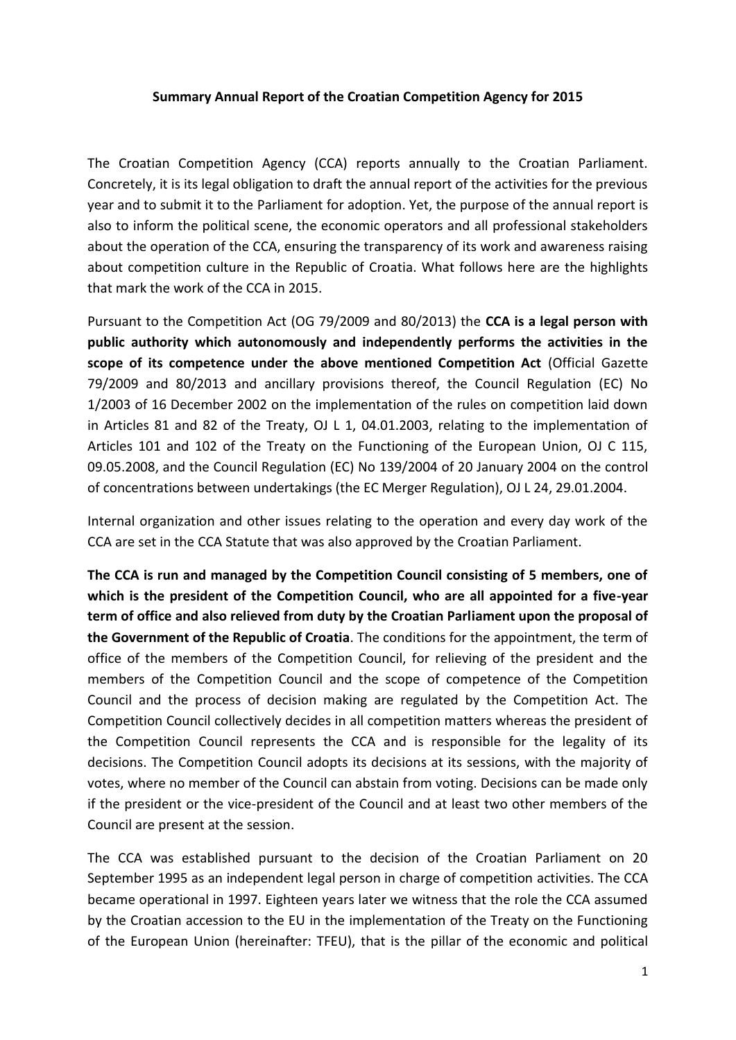## **Summary Annual Report of the Croatian Competition Agency for 2015**

The Croatian Competition Agency (CCA) reports annually to the Croatian Parliament. Concretely, it is its legal obligation to draft the annual report of the activities for the previous year and to submit it to the Parliament for adoption. Yet, the purpose of the annual report is also to inform the political scene, the economic operators and all professional stakeholders about the operation of the CCA, ensuring the transparency of its work and awareness raising about competition culture in the Republic of Croatia. What follows here are the highlights that mark the work of the CCA in 2015.

Pursuant to the Competition Act (OG 79/2009 and 80/2013) the **CCA is a legal person with public authority which autonomously and independently performs the activities in the scope of its competence under the above mentioned Competition Act** (Official Gazette 79/2009 and 80/2013 and ancillary provisions thereof, the Council Regulation (EC) No 1/2003 of 16 December 2002 on the implementation of the rules on competition laid down in Articles 81 and 82 of the Treaty, OJ L 1, 04.01.2003, relating to the implementation of Articles 101 and 102 of the Treaty on the Functioning of the European Union, OJ C 115, 09.05.2008, and the Council Regulation (EC) No 139/2004 of 20 January 2004 on the control of concentrations between undertakings (the EC Merger Regulation), OJ L 24, 29.01.2004.

Internal organization and other issues relating to the operation and every day work of the CCA are set in the CCA Statute that was also approved by the Croatian Parliament.

**The CCA is run and managed by the Competition Council consisting of 5 members, one of which is the president of the Competition Council, who are all appointed for a five-year term of office and also relieved from duty by the Croatian Parliament upon the proposal of the Government of the Republic of Croatia**. The conditions for the appointment, the term of office of the members of the Competition Council, for relieving of the president and the members of the Competition Council and the scope of competence of the Competition Council and the process of decision making are regulated by the Competition Act. The Competition Council collectively decides in all competition matters whereas the president of the Competition Council represents the CCA and is responsible for the legality of its decisions. The Competition Council adopts its decisions at its sessions, with the majority of votes, where no member of the Council can abstain from voting. Decisions can be made only if the president or the vice-president of the Council and at least two other members of the Council are present at the session.

The CCA was established pursuant to the decision of the Croatian Parliament on 20 September 1995 as an independent legal person in charge of competition activities. The CCA became operational in 1997. Eighteen years later we witness that the role the CCA assumed by the Croatian accession to the EU in the implementation of the Treaty on the Functioning of the European Union (hereinafter: TFEU), that is the pillar of the economic and political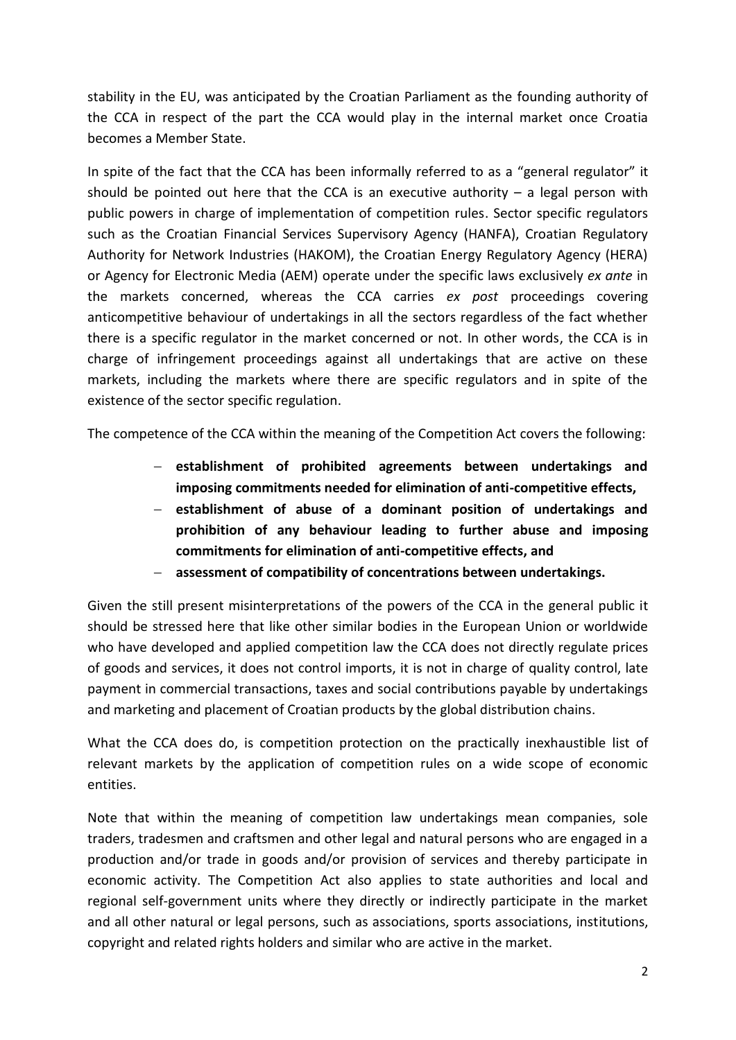stability in the EU, was anticipated by the Croatian Parliament as the founding authority of the CCA in respect of the part the CCA would play in the internal market once Croatia becomes a Member State.

In spite of the fact that the CCA has been informally referred to as a "general regulator" it should be pointed out here that the CCA is an executive authority  $-$  a legal person with public powers in charge of implementation of competition rules. Sector specific regulators such as the Croatian Financial Services Supervisory Agency (HANFA), Croatian Regulatory Authority for Network Industries (HAKOM), the Croatian Energy Regulatory Agency (HERA) or Agency for Electronic Media (AEM) operate under the specific laws exclusively *ex ante* in the markets concerned, whereas the CCA carries *ex post* proceedings covering anticompetitive behaviour of undertakings in all the sectors regardless of the fact whether there is a specific regulator in the market concerned or not. In other words, the CCA is in charge of infringement proceedings against all undertakings that are active on these markets, including the markets where there are specific regulators and in spite of the existence of the sector specific regulation.

The competence of the CCA within the meaning of the Competition Act covers the following:

- **establishment of prohibited agreements between undertakings and imposing commitments needed for elimination of anti-competitive effects,**
- **establishment of abuse of a dominant position of undertakings and prohibition of any behaviour leading to further abuse and imposing commitments for elimination of anti-competitive effects, and**
- **assessment of compatibility of concentrations between undertakings.**

Given the still present misinterpretations of the powers of the CCA in the general public it should be stressed here that like other similar bodies in the European Union or worldwide who have developed and applied competition law the CCA does not directly regulate prices of goods and services, it does not control imports, it is not in charge of quality control, late payment in commercial transactions, taxes and social contributions payable by undertakings and marketing and placement of Croatian products by the global distribution chains.

What the CCA does do, is competition protection on the practically inexhaustible list of relevant markets by the application of competition rules on a wide scope of economic entities.

Note that within the meaning of competition law undertakings mean companies, sole traders, tradesmen and craftsmen and other legal and natural persons who are engaged in a production and/or trade in goods and/or provision of services and thereby participate in economic activity. The Competition Act also applies to state authorities and local and regional self-government units where they directly or indirectly participate in the market and all other natural or legal persons, such as associations, sports associations, institutions, copyright and related rights holders and similar who are active in the market.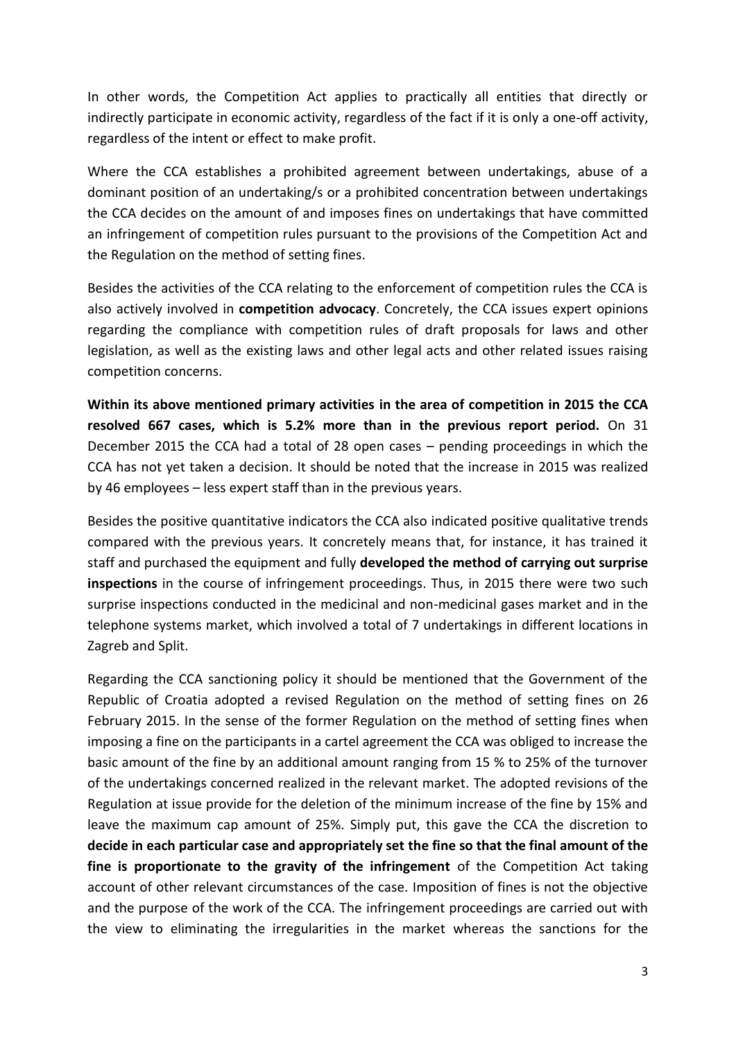In other words, the Competition Act applies to practically all entities that directly or indirectly participate in economic activity, regardless of the fact if it is only a one-off activity, regardless of the intent or effect to make profit.

Where the CCA establishes a prohibited agreement between undertakings, abuse of a dominant position of an undertaking/s or a prohibited concentration between undertakings the CCA decides on the amount of and imposes fines on undertakings that have committed an infringement of competition rules pursuant to the provisions of the Competition Act and the Regulation on the method of setting fines.

Besides the activities of the CCA relating to the enforcement of competition rules the CCA is also actively involved in **competition advocacy**. Concretely, the CCA issues expert opinions regarding the compliance with competition rules of draft proposals for laws and other legislation, as well as the existing laws and other legal acts and other related issues raising competition concerns.

**Within its above mentioned primary activities in the area of competition in 2015 the CCA resolved 667 cases, which is 5.2% more than in the previous report period.** On 31 December 2015 the CCA had a total of 28 open cases – pending proceedings in which the CCA has not yet taken a decision. It should be noted that the increase in 2015 was realized by 46 employees – less expert staff than in the previous years.

Besides the positive quantitative indicators the CCA also indicated positive qualitative trends compared with the previous years. It concretely means that, for instance, it has trained it staff and purchased the equipment and fully **developed the method of carrying out surprise inspections** in the course of infringement proceedings. Thus, in 2015 there were two such surprise inspections conducted in the medicinal and non-medicinal gases market and in the telephone systems market, which involved a total of 7 undertakings in different locations in Zagreb and Split.

Regarding the CCA sanctioning policy it should be mentioned that the Government of the Republic of Croatia adopted a revised Regulation on the method of setting fines on 26 February 2015. In the sense of the former Regulation on the method of setting fines when imposing a fine on the participants in a cartel agreement the CCA was obliged to increase the basic amount of the fine by an additional amount ranging from 15 % to 25% of the turnover of the undertakings concerned realized in the relevant market. The adopted revisions of the Regulation at issue provide for the deletion of the minimum increase of the fine by 15% and leave the maximum cap amount of 25%. Simply put, this gave the CCA the discretion to **decide in each particular case and appropriately set the fine so that the final amount of the fine is proportionate to the gravity of the infringement** of the Competition Act taking account of other relevant circumstances of the case. Imposition of fines is not the objective and the purpose of the work of the CCA. The infringement proceedings are carried out with the view to eliminating the irregularities in the market whereas the sanctions for the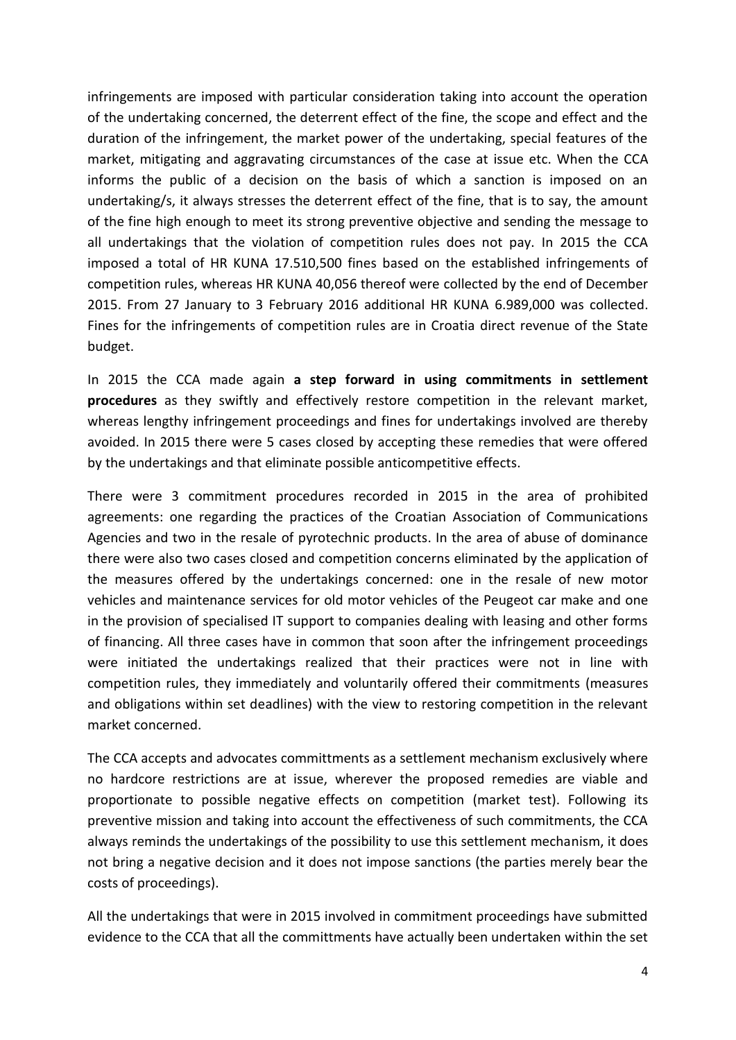infringements are imposed with particular consideration taking into account the operation of the undertaking concerned, the deterrent effect of the fine, the scope and effect and the duration of the infringement, the market power of the undertaking, special features of the market, mitigating and aggravating circumstances of the case at issue etc. When the CCA informs the public of a decision on the basis of which a sanction is imposed on an undertaking/s, it always stresses the deterrent effect of the fine, that is to say, the amount of the fine high enough to meet its strong preventive objective and sending the message to all undertakings that the violation of competition rules does not pay. In 2015 the CCA imposed a total of HR KUNA 17.510,500 fines based on the established infringements of competition rules, whereas HR KUNA 40,056 thereof were collected by the end of December 2015. From 27 January to 3 February 2016 additional HR KUNA 6.989,000 was collected. Fines for the infringements of competition rules are in Croatia direct revenue of the State budget.

In 2015 the CCA made again **a step forward in using commitments in settlement procedures** as they swiftly and effectively restore competition in the relevant market, whereas lengthy infringement proceedings and fines for undertakings involved are thereby avoided. In 2015 there were 5 cases closed by accepting these remedies that were offered by the undertakings and that eliminate possible anticompetitive effects.

There were 3 commitment procedures recorded in 2015 in the area of prohibited agreements: one regarding the practices of the Croatian Association of Communications Agencies and two in the resale of pyrotechnic products. In the area of abuse of dominance there were also two cases closed and competition concerns eliminated by the application of the measures offered by the undertakings concerned: one in the resale of new motor vehicles and maintenance services for old motor vehicles of the Peugeot car make and one in the provision of specialised IT support to companies dealing with leasing and other forms of financing. All three cases have in common that soon after the infringement proceedings were initiated the undertakings realized that their practices were not in line with competition rules, they immediately and voluntarily offered their commitments (measures and obligations within set deadlines) with the view to restoring competition in the relevant market concerned.

The CCA accepts and advocates committments as a settlement mechanism exclusively where no hardcore restrictions are at issue, wherever the proposed remedies are viable and proportionate to possible negative effects on competition (market test). Following its preventive mission and taking into account the effectiveness of such commitments, the CCA always reminds the undertakings of the possibility to use this settlement mechanism, it does not bring a negative decision and it does not impose sanctions (the parties merely bear the costs of proceedings).

All the undertakings that were in 2015 involved in commitment proceedings have submitted evidence to the CCA that all the committments have actually been undertaken within the set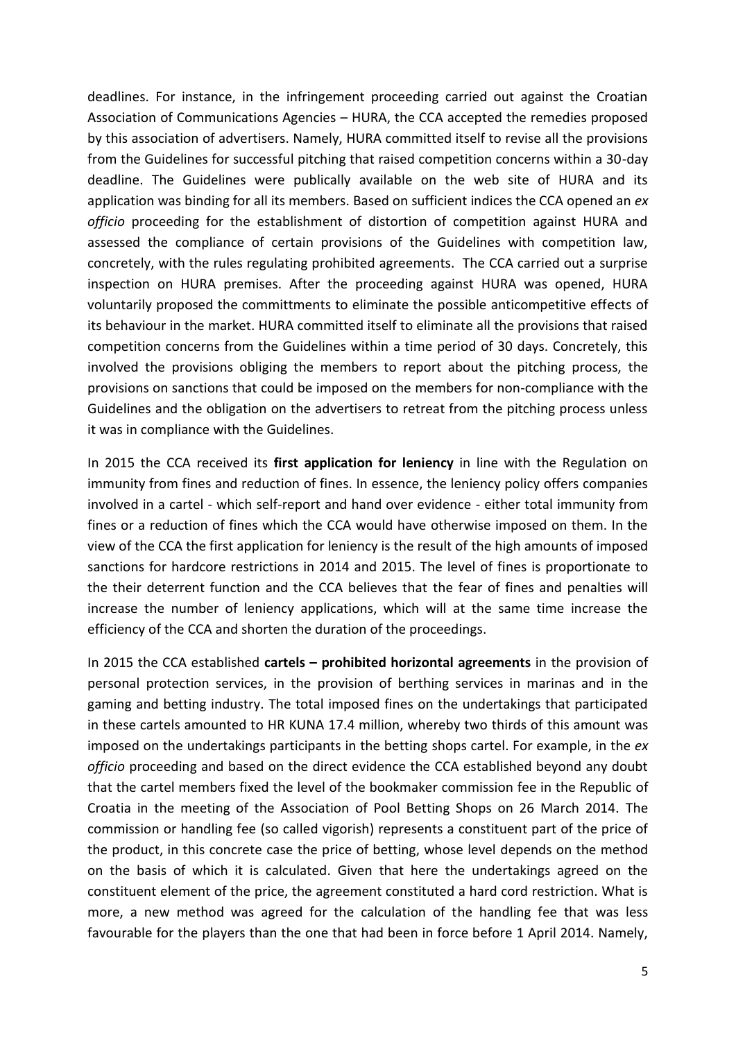deadlines. For instance, in the infringement proceeding carried out against the Croatian Association of Communications Agencies – HURA, the CCA accepted the remedies proposed by this association of advertisers. Namely, HURA committed itself to revise all the provisions from the Guidelines for successful pitching that raised competition concerns within a 30-day deadline. The Guidelines were publically available on the web site of HURA and its application was binding for all its members. Based on sufficient indices the CCA opened an *ex officio* proceeding for the establishment of distortion of competition against HURA and assessed the compliance of certain provisions of the Guidelines with competition law, concretely, with the rules regulating prohibited agreements. The CCA carried out a surprise inspection on HURA premises. After the proceeding against HURA was opened, HURA voluntarily proposed the committments to eliminate the possible anticompetitive effects of its behaviour in the market. HURA committed itself to eliminate all the provisions that raised competition concerns from the Guidelines within a time period of 30 days. Concretely, this involved the provisions obliging the members to report about the pitching process, the provisions on sanctions that could be imposed on the members for non-compliance with the Guidelines and the obligation on the advertisers to retreat from the pitching process unless it was in compliance with the Guidelines.

In 2015 the CCA received its **first application for leniency** in line with the Regulation on immunity from fines and reduction of fines. In essence, the leniency policy offers companies involved in a cartel - which self-report and hand over evidence - either total immunity from fines or a reduction of fines which the CCA would have otherwise imposed on them. In the view of the CCA the first application for leniency is the result of the high amounts of imposed sanctions for hardcore restrictions in 2014 and 2015. The level of fines is proportionate to the their deterrent function and the CCA believes that the fear of fines and penalties will increase the number of leniency applications, which will at the same time increase the efficiency of the CCA and shorten the duration of the proceedings.

In 2015 the CCA established **cartels – prohibited horizontal agreements** in the provision of personal protection services, in the provision of berthing services in marinas and in the gaming and betting industry. The total imposed fines on the undertakings that participated in these cartels amounted to HR KUNA 17.4 million, whereby two thirds of this amount was imposed on the undertakings participants in the betting shops cartel. For example, in the *ex officio* proceeding and based on the direct evidence the CCA established beyond any doubt that the cartel members fixed the level of the bookmaker commission fee in the Republic of Croatia in the meeting of the Association of Pool Betting Shops on 26 March 2014. The commission or handling fee (so called vigorish) represents a constituent part of the price of the product, in this concrete case the price of betting, whose level depends on the method on the basis of which it is calculated. Given that here the undertakings agreed on the constituent element of the price, the agreement constituted a hard cord restriction. What is more, a new method was agreed for the calculation of the handling fee that was less favourable for the players than the one that had been in force before 1 April 2014. Namely,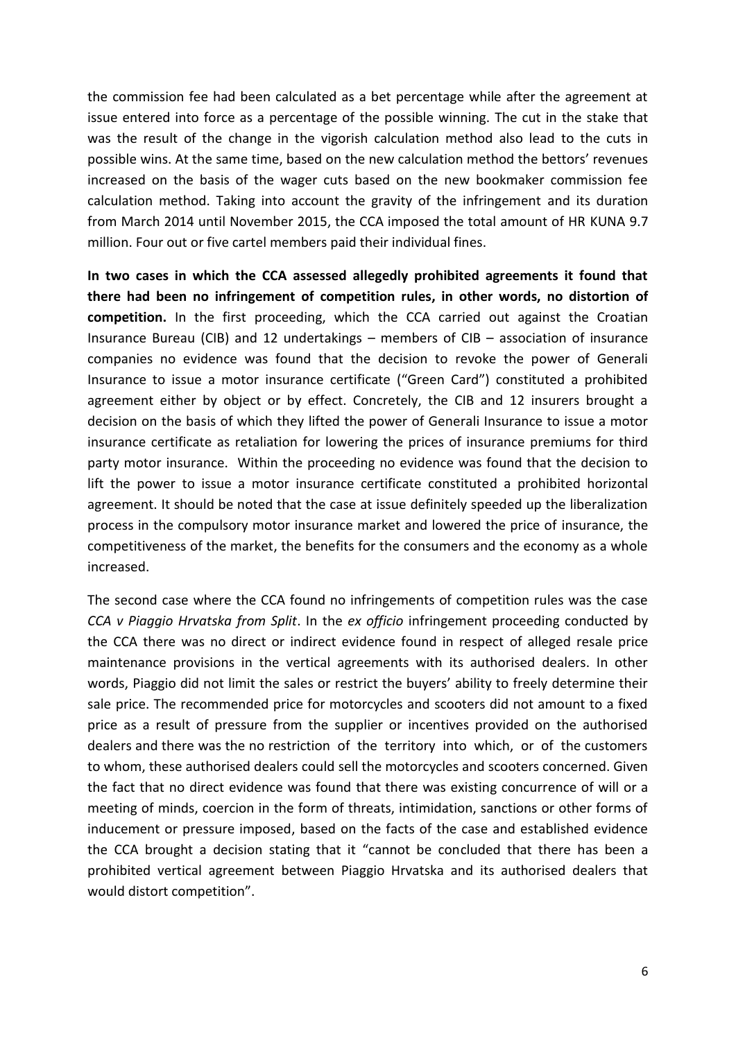the commission fee had been calculated as a bet percentage while after the agreement at issue entered into force as a percentage of the possible winning. The cut in the stake that was the result of the change in the vigorish calculation method also lead to the cuts in possible wins. At the same time, based on the new calculation method the bettors' revenues increased on the basis of the wager cuts based on the new bookmaker commission fee calculation method. Taking into account the gravity of the infringement and its duration from March 2014 until November 2015, the CCA imposed the total amount of HR KUNA 9.7 million. Four out or five cartel members paid their individual fines.

**In two cases in which the CCA assessed allegedly prohibited agreements it found that there had been no infringement of competition rules, in other words, no distortion of competition.** In the first proceeding, which the CCA carried out against the Croatian Insurance Bureau (CIB) and 12 undertakings – members of CIB – association of insurance companies no evidence was found that the decision to revoke the power of Generali Insurance to issue a motor insurance certificate ("Green Card") constituted a prohibited agreement either by object or by effect. Concretely, the CIB and 12 insurers brought a decision on the basis of which they lifted the power of Generali Insurance to issue a motor insurance certificate as retaliation for lowering the prices of insurance premiums for third party motor insurance. Within the proceeding no evidence was found that the decision to lift the power to issue a motor insurance certificate constituted a prohibited horizontal agreement. It should be noted that the case at issue definitely speeded up the liberalization process in the compulsory motor insurance market and lowered the price of insurance, the competitiveness of the market, the benefits for the consumers and the economy as a whole increased.

The second case where the CCA found no infringements of competition rules was the case *CCA v Piaggio Hrvatska from Split*. In the *ex officio* infringement proceeding conducted by the CCA there was no direct or indirect evidence found in respect of alleged resale price maintenance provisions in the vertical agreements with its authorised dealers. In other words, Piaggio did not limit the sales or restrict the buyers' ability to freely determine their sale price. The recommended price for motorcycles and scooters did not amount to a fixed price as a result of pressure from the supplier or incentives provided on the authorised dealers and there was the no restriction of the territory into which, or of the customers to whom, these authorised dealers could sell the motorcycles and scooters concerned. Given the fact that no direct evidence was found that there was existing concurrence of will or a meeting of minds, coercion in the form of threats, intimidation, sanctions or other forms of inducement or pressure imposed, based on the facts of the case and established evidence the CCA brought a decision stating that it "cannot be concluded that there has been a prohibited vertical agreement between Piaggio Hrvatska and its authorised dealers that would distort competition".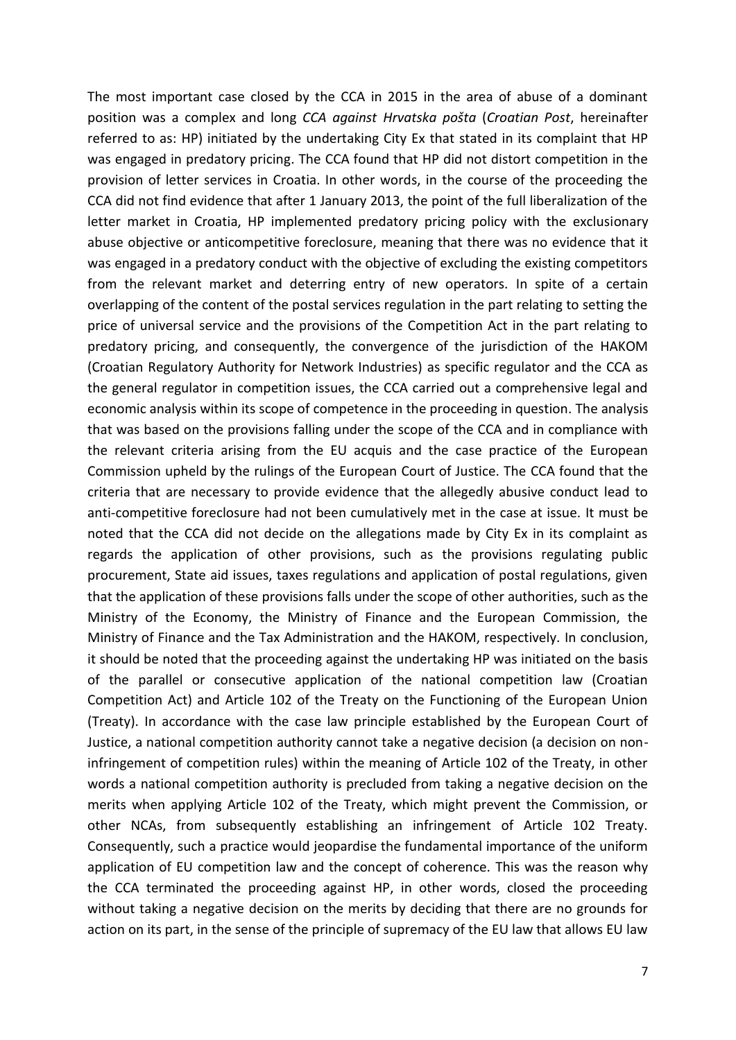The most important case closed by the CCA in 2015 in the area of abuse of a dominant position was a complex and long *CCA against Hrvatska pošta* (*Croatian Post*, hereinafter referred to as: HP) initiated by the undertaking City Ex that stated in its complaint that HP was engaged in predatory pricing. The CCA found that HP did not distort competition in the provision of letter services in Croatia. In other words, in the course of the proceeding the CCA did not find evidence that after 1 January 2013, the point of the full liberalization of the letter market in Croatia, HP implemented predatory pricing policy with the exclusionary abuse objective or anticompetitive foreclosure, meaning that there was no evidence that it was engaged in a predatory conduct with the objective of excluding the existing competitors from the relevant market and deterring entry of new operators. In spite of a certain overlapping of the content of the postal services regulation in the part relating to setting the price of universal service and the provisions of the Competition Act in the part relating to predatory pricing, and consequently, the convergence of the jurisdiction of the HAKOM (Croatian Regulatory Authority for Network Industries) as specific regulator and the CCA as the general regulator in competition issues, the CCA carried out a comprehensive legal and economic analysis within its scope of competence in the proceeding in question. The analysis that was based on the provisions falling under the scope of the CCA and in compliance with the relevant criteria arising from the EU acquis and the case practice of the European Commission upheld by the rulings of the European Court of Justice. The CCA found that the criteria that are necessary to provide evidence that the allegedly abusive conduct lead to anti-competitive foreclosure had not been cumulatively met in the case at issue. It must be noted that the CCA did not decide on the allegations made by City Ex in its complaint as regards the application of other provisions, such as the provisions regulating public procurement, State aid issues, taxes regulations and application of postal regulations, given that the application of these provisions falls under the scope of other authorities, such as the Ministry of the Economy, the Ministry of Finance and the European Commission, the Ministry of Finance and the Tax Administration and the HAKOM, respectively. In conclusion, it should be noted that the proceeding against the undertaking HP was initiated on the basis of the parallel or consecutive application of the national competition law (Croatian Competition Act) and Article 102 of the Treaty on the Functioning of the European Union (Treaty). In accordance with the case law principle established by the European Court of Justice, a national competition authority cannot take a negative decision (a decision on noninfringement of competition rules) within the meaning of Article 102 of the Treaty, in other words a national competition authority is precluded from taking a negative decision on the merits when applying Article 102 of the Treaty, which might prevent the Commission, or other NCAs, from subsequently establishing an infringement of Article 102 Treaty. Consequently, such a practice would jeopardise the fundamental importance of the uniform application of EU competition law and the concept of coherence. This was the reason why the CCA terminated the proceeding against HP, in other words, closed the proceeding without taking a negative decision on the merits by deciding that there are no grounds for action on its part, in the sense of the principle of supremacy of the EU law that allows EU law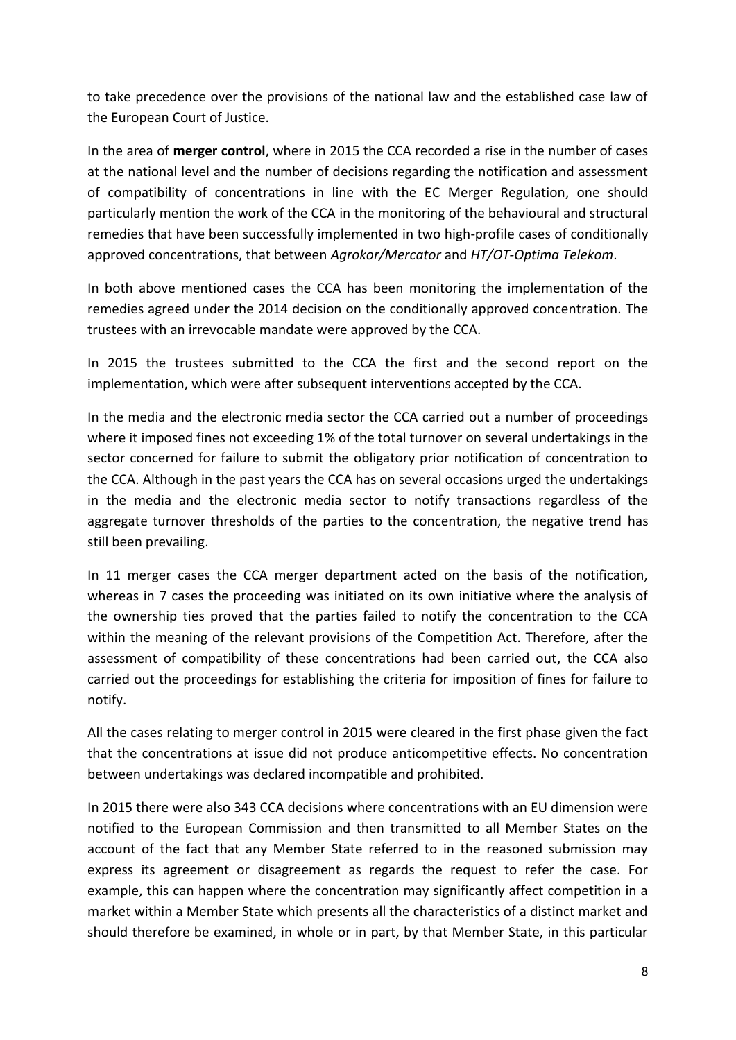to take precedence over the provisions of the national law and the established case law of the European Court of Justice.

In the area of **merger control**, where in 2015 the CCA recorded a rise in the number of cases at the national level and the number of decisions regarding the notification and assessment of compatibility of concentrations in line with the EC Merger Regulation, one should particularly mention the work of the CCA in the monitoring of the behavioural and structural remedies that have been successfully implemented in two high-profile cases of conditionally approved concentrations, that between *Agrokor/Mercator* and *HT/OT-Optima Telekom*.

In both above mentioned cases the CCA has been monitoring the implementation of the remedies agreed under the 2014 decision on the conditionally approved concentration. The trustees with an irrevocable mandate were approved by the CCA.

In 2015 the trustees submitted to the CCA the first and the second report on the implementation, which were after subsequent interventions accepted by the CCA.

In the media and the electronic media sector the CCA carried out a number of proceedings where it imposed fines not exceeding 1% of the total turnover on several undertakings in the sector concerned for failure to submit the obligatory prior notification of concentration to the CCA. Although in the past years the CCA has on several occasions urged the undertakings in the media and the electronic media sector to notify transactions regardless of the aggregate turnover thresholds of the parties to the concentration, the negative trend has still been prevailing.

In 11 merger cases the CCA merger department acted on the basis of the notification, whereas in 7 cases the proceeding was initiated on its own initiative where the analysis of the ownership ties proved that the parties failed to notify the concentration to the CCA within the meaning of the relevant provisions of the Competition Act. Therefore, after the assessment of compatibility of these concentrations had been carried out, the CCA also carried out the proceedings for establishing the criteria for imposition of fines for failure to notify.

All the cases relating to merger control in 2015 were cleared in the first phase given the fact that the concentrations at issue did not produce anticompetitive effects. No concentration between undertakings was declared incompatible and prohibited.

In 2015 there were also 343 CCA decisions where concentrations with an EU dimension were notified to the European Commission and then transmitted to all Member States on the account of the fact that any Member State referred to in the reasoned submission may express its agreement or disagreement as regards the request to refer the case. For example, this can happen where the concentration may significantly affect competition in a market within a Member State which presents all the characteristics of a distinct market and should therefore be examined, in whole or in part, by that Member State, in this particular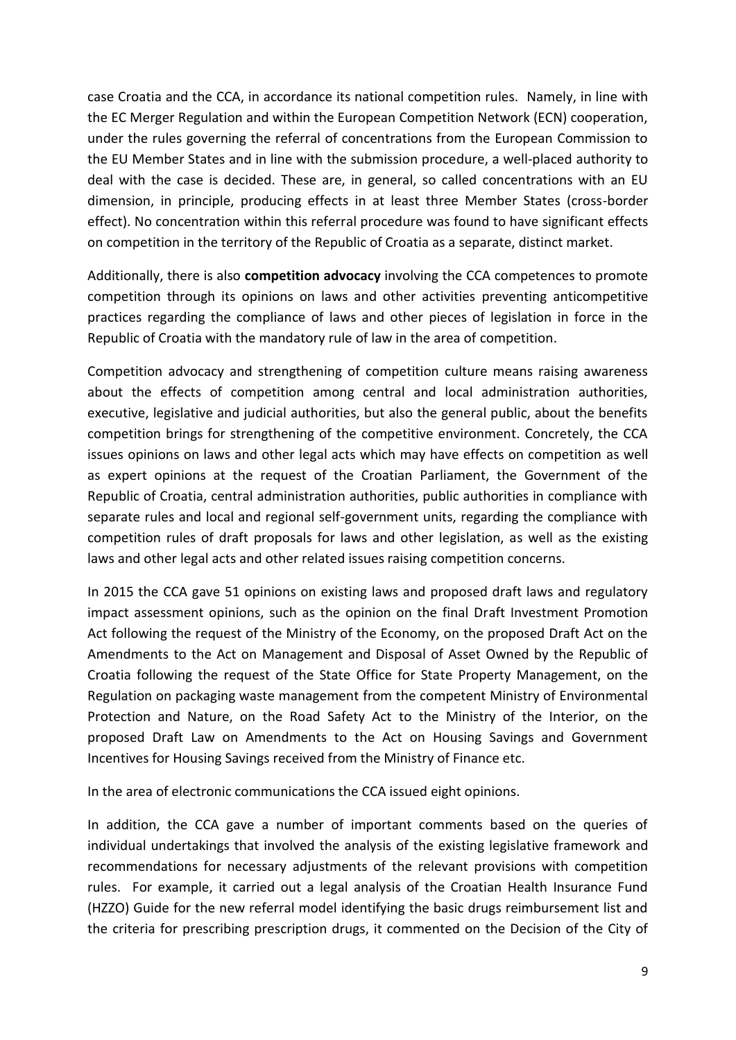case Croatia and the CCA, in accordance its national competition rules. Namely, in line with the EC Merger Regulation and within the European Competition Network (ECN) cooperation, under the rules governing the referral of concentrations from the European Commission to the EU Member States and in line with the submission procedure, a well-placed authority to deal with the case is decided. These are, in general, so called concentrations with an EU dimension, in principle, producing effects in at least three Member States (cross-border effect). No concentration within this referral procedure was found to have significant effects on competition in the territory of the Republic of Croatia as a separate, distinct market.

Additionally, there is also **competition advocacy** involving the CCA competences to promote competition through its opinions on laws and other activities preventing anticompetitive practices regarding the compliance of laws and other pieces of legislation in force in the Republic of Croatia with the mandatory rule of law in the area of competition.

Competition advocacy and strengthening of competition culture means raising awareness about the effects of competition among central and local administration authorities, executive, legislative and judicial authorities, but also the general public, about the benefits competition brings for strengthening of the competitive environment. Concretely, the CCA issues opinions on laws and other legal acts which may have effects on competition as well as expert opinions at the request of the Croatian Parliament, the Government of the Republic of Croatia, central administration authorities, public authorities in compliance with separate rules and local and regional self-government units, regarding the compliance with competition rules of draft proposals for laws and other legislation, as well as the existing laws and other legal acts and other related issues raising competition concerns.

In 2015 the CCA gave 51 opinions on existing laws and proposed draft laws and regulatory impact assessment opinions, such as the opinion on the final Draft Investment Promotion Act following the request of the Ministry of the Economy, on the proposed Draft Act on the Amendments to the Act on Management and Disposal of Asset Owned by the Republic of Croatia following the request of the State Office for State Property Management, on the Regulation on packaging waste management from the competent Ministry of Environmental Protection and Nature, on the Road Safety Act to the Ministry of the Interior, on the proposed Draft Law on Amendments to the Act on Housing Savings and Government Incentives for Housing Savings received from the Ministry of Finance etc.

In the area of electronic communications the CCA issued eight opinions.

In addition, the CCA gave a number of important comments based on the queries of individual undertakings that involved the analysis of the existing legislative framework and recommendations for necessary adjustments of the relevant provisions with competition rules. For example, it carried out a legal analysis of the Croatian Health Insurance Fund (HZZO) Guide for the new referral model identifying the basic drugs reimbursement list and the criteria for prescribing prescription drugs, it commented on the Decision of the City of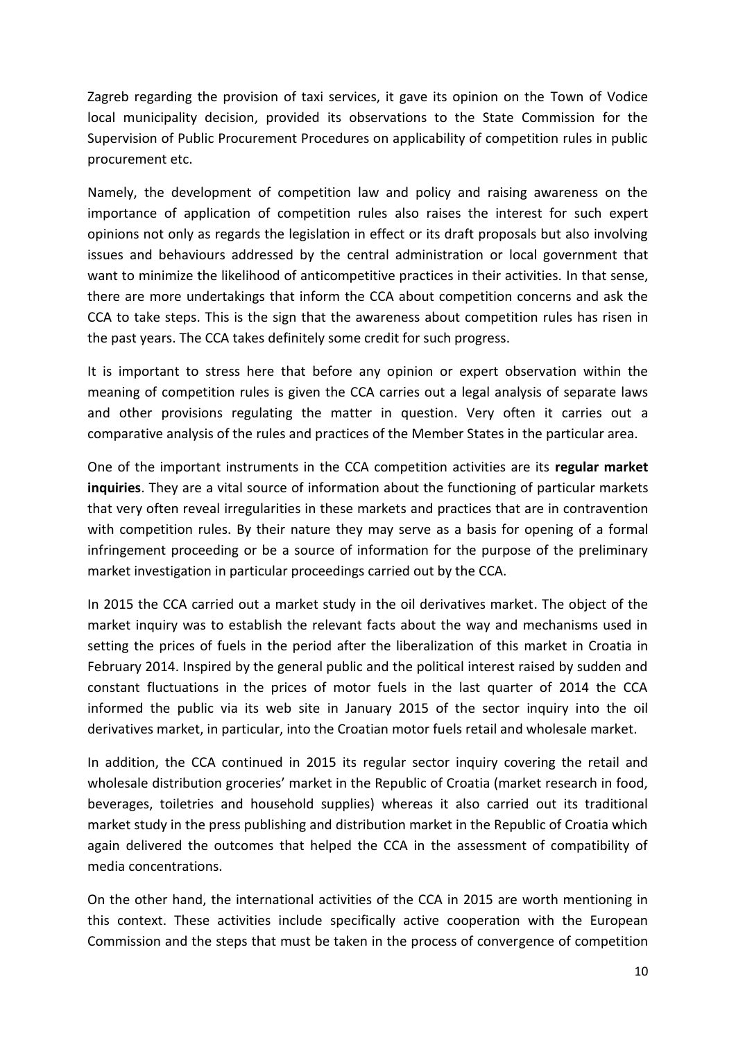Zagreb regarding the provision of taxi services, it gave its opinion on the Town of Vodice local municipality decision, provided its observations to the State Commission for the Supervision of Public Procurement Procedures on applicability of competition rules in public procurement etc.

Namely, the development of competition law and policy and raising awareness on the importance of application of competition rules also raises the interest for such expert opinions not only as regards the legislation in effect or its draft proposals but also involving issues and behaviours addressed by the central administration or local government that want to minimize the likelihood of anticompetitive practices in their activities. In that sense, there are more undertakings that inform the CCA about competition concerns and ask the CCA to take steps. This is the sign that the awareness about competition rules has risen in the past years. The CCA takes definitely some credit for such progress.

It is important to stress here that before any opinion or expert observation within the meaning of competition rules is given the CCA carries out a legal analysis of separate laws and other provisions regulating the matter in question. Very often it carries out a comparative analysis of the rules and practices of the Member States in the particular area.

One of the important instruments in the CCA competition activities are its **regular market inquiries**. They are a vital source of information about the functioning of particular markets that very often reveal irregularities in these markets and practices that are in contravention with competition rules. By their nature they may serve as a basis for opening of a formal infringement proceeding or be a source of information for the purpose of the preliminary market investigation in particular proceedings carried out by the CCA.

In 2015 the CCA carried out a market study in the oil derivatives market. The object of the market inquiry was to establish the relevant facts about the way and mechanisms used in setting the prices of fuels in the period after the liberalization of this market in Croatia in February 2014. Inspired by the general public and the political interest raised by sudden and constant fluctuations in the prices of motor fuels in the last quarter of 2014 the CCA informed the public via its web site in January 2015 of the sector inquiry into the oil derivatives market, in particular, into the Croatian motor fuels retail and wholesale market.

In addition, the CCA continued in 2015 its regular sector inquiry covering the retail and wholesale distribution groceries' market in the Republic of Croatia (market research in food, beverages, toiletries and household supplies) whereas it also carried out its traditional market study in the press publishing and distribution market in the Republic of Croatia which again delivered the outcomes that helped the CCA in the assessment of compatibility of media concentrations.

On the other hand, the international activities of the CCA in 2015 are worth mentioning in this context. These activities include specifically active cooperation with the European Commission and the steps that must be taken in the process of convergence of competition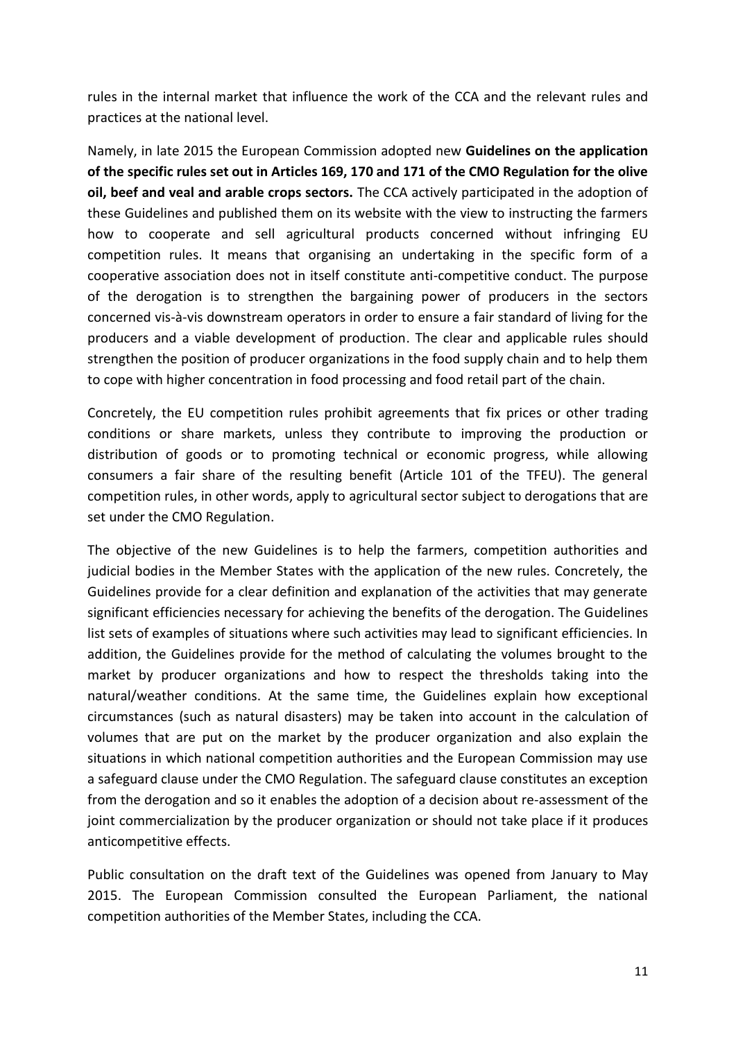rules in the internal market that influence the work of the CCA and the relevant rules and practices at the national level.

Namely, in late 2015 the European Commission adopted new **Guidelines on the application of the specific rules set out in Articles 169, 170 and 171 of the CMO Regulation for the olive oil, beef and veal and arable crops sectors.** The CCA actively participated in the adoption of these Guidelines and published them on its website with the view to instructing the farmers how to cooperate and sell agricultural products concerned without infringing EU competition rules. It means that organising an undertaking in the specific form of a cooperative association does not in itself constitute anti-competitive conduct. The purpose of the derogation is to strengthen the bargaining power of producers in the sectors concerned vis-à-vis downstream operators in order to ensure a fair standard of living for the producers and a viable development of production. The clear and applicable rules should strengthen the position of producer organizations in the food supply chain and to help them to cope with higher concentration in food processing and food retail part of the chain.

Concretely, the EU competition rules prohibit agreements that fix prices or other trading conditions or share markets, unless they contribute to improving the production or distribution of goods or to promoting technical or economic progress, while allowing consumers a fair share of the resulting benefit (Article 101 of the TFEU). The general competition rules, in other words, apply to agricultural sector subject to derogations that are set under the CMO Regulation.

The objective of the new Guidelines is to help the farmers, competition authorities and judicial bodies in the Member States with the application of the new rules. Concretely, the Guidelines provide for a clear definition and explanation of the activities that may generate significant efficiencies necessary for achieving the benefits of the derogation. The Guidelines list sets of examples of situations where such activities may lead to significant efficiencies. In addition, the Guidelines provide for the method of calculating the volumes brought to the market by producer organizations and how to respect the thresholds taking into the natural/weather conditions. At the same time, the Guidelines explain how exceptional circumstances (such as natural disasters) may be taken into account in the calculation of volumes that are put on the market by the producer organization and also explain the situations in which national competition authorities and the European Commission may use a safeguard clause under the CMO Regulation. The safeguard clause constitutes an exception from the derogation and so it enables the adoption of a decision about re-assessment of the joint commercialization by the producer organization or should not take place if it produces anticompetitive effects.

Public consultation on the draft text of the Guidelines was opened from January to May 2015. The European Commission consulted the European Parliament, the national competition authorities of the Member States, including the CCA.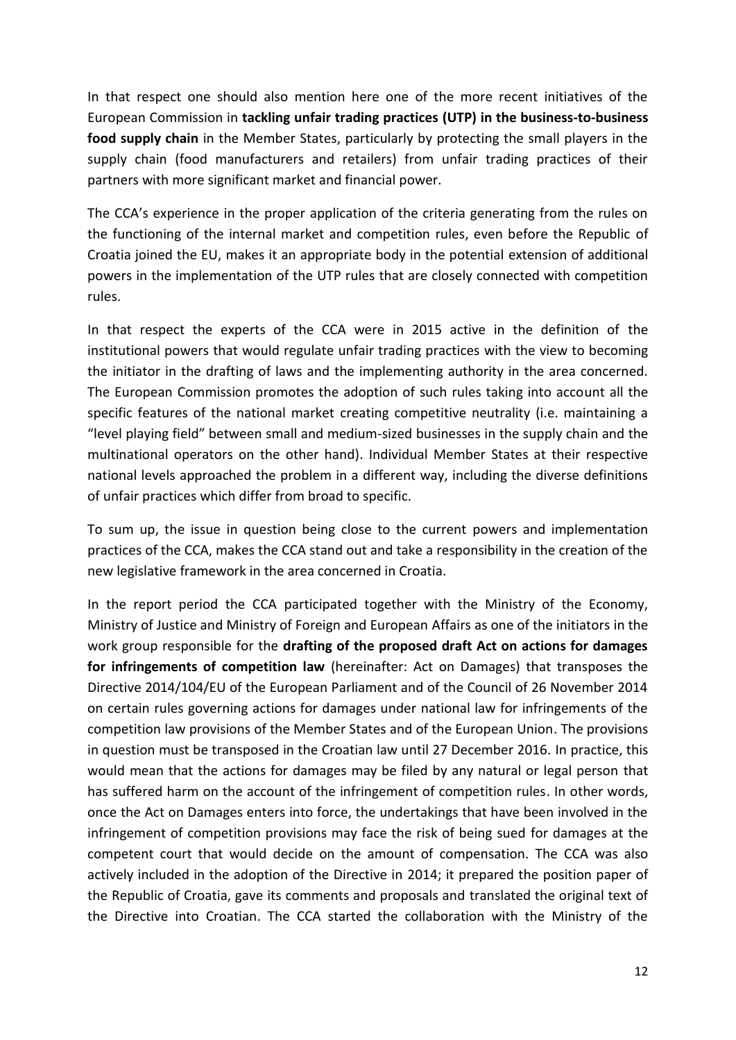In that respect one should also mention here one of the more recent initiatives of the European Commission in **tackling unfair trading practices (UTP) in the business-to-business food supply chain** in the Member States, particularly by protecting the small players in the supply chain (food manufacturers and retailers) from unfair trading practices of their partners with more significant market and financial power.

The CCA's experience in the proper application of the criteria generating from the rules on the functioning of the internal market and competition rules, even before the Republic of Croatia joined the EU, makes it an appropriate body in the potential extension of additional powers in the implementation of the UTP rules that are closely connected with competition rules.

In that respect the experts of the CCA were in 2015 active in the definition of the institutional powers that would regulate unfair trading practices with the view to becoming the initiator in the drafting of laws and the implementing authority in the area concerned. The European Commission promotes the adoption of such rules taking into account all the specific features of the national market creating competitive neutrality (i.e. maintaining a "level playing field" between small and medium-sized businesses in the supply chain and the multinational operators on the other hand). Individual Member States at their respective national levels approached the problem in a different way, including the diverse definitions of unfair practices which differ from broad to specific.

To sum up, the issue in question being close to the current powers and implementation practices of the CCA, makes the CCA stand out and take a responsibility in the creation of the new legislative framework in the area concerned in Croatia.

In the report period the CCA participated together with the Ministry of the Economy, Ministry of Justice and Ministry of Foreign and European Affairs as one of the initiators in the work group responsible for the **drafting of the proposed draft Act on actions for damages for infringements of competition law** (hereinafter: Act on Damages) that transposes the Directive 2014/104/EU of the European Parliament and of the Council of 26 November 2014 on certain rules governing actions for damages under national law for infringements of the competition law provisions of the Member States and of the European Union. The provisions in question must be transposed in the Croatian law until 27 December 2016. In practice, this would mean that the actions for damages may be filed by any natural or legal person that has suffered harm on the account of the infringement of competition rules. In other words, once the Act on Damages enters into force, the undertakings that have been involved in the infringement of competition provisions may face the risk of being sued for damages at the competent court that would decide on the amount of compensation. The CCA was also actively included in the adoption of the Directive in 2014; it prepared the position paper of the Republic of Croatia, gave its comments and proposals and translated the original text of the Directive into Croatian. The CCA started the collaboration with the Ministry of the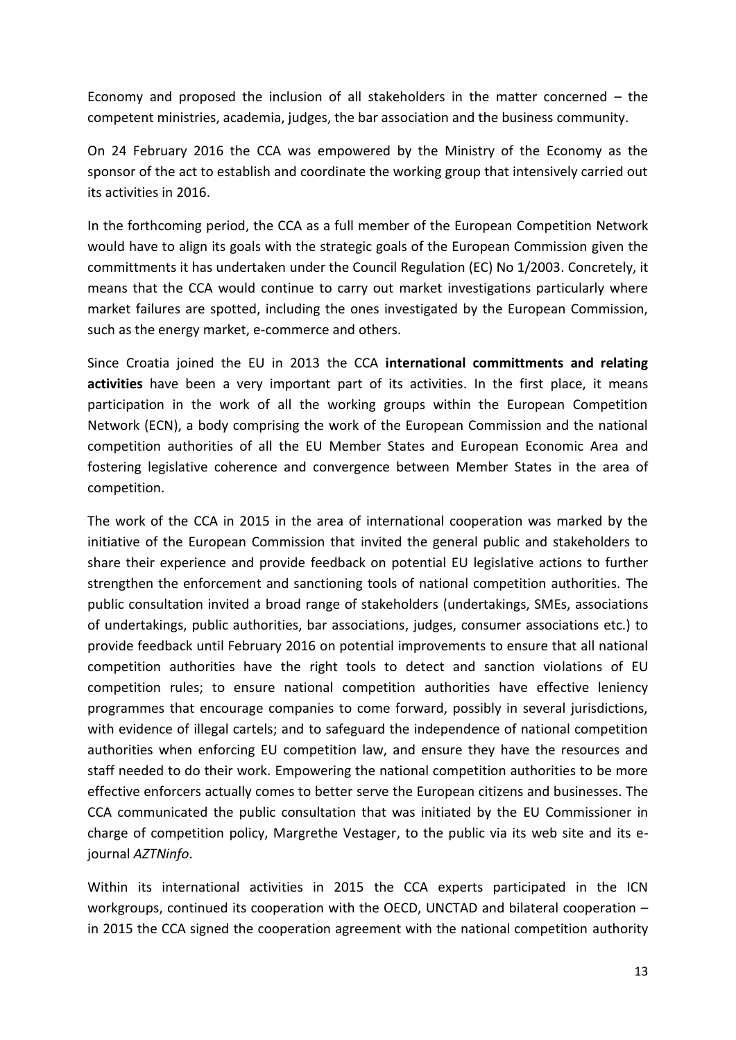Economy and proposed the inclusion of all stakeholders in the matter concerned – the competent ministries, academia, judges, the bar association and the business community.

On 24 February 2016 the CCA was empowered by the Ministry of the Economy as the sponsor of the act to establish and coordinate the working group that intensively carried out its activities in 2016.

In the forthcoming period, the CCA as a full member of the European Competition Network would have to align its goals with the strategic goals of the European Commission given the committments it has undertaken under the Council Regulation (EC) No 1/2003. Concretely, it means that the CCA would continue to carry out market investigations particularly where market failures are spotted, including the ones investigated by the European Commission, such as the energy market, e-commerce and others.

Since Croatia joined the EU in 2013 the CCA **international committments and relating activities** have been a very important part of its activities. In the first place, it means participation in the work of all the working groups within the European Competition Network (ECN), a body comprising the work of the European Commission and the national competition authorities of all the EU Member States and European Economic Area and fostering legislative coherence and convergence between Member States in the area of competition.

The work of the CCA in 2015 in the area of international cooperation was marked by the initiative of the European Commission that invited the general public and stakeholders to share their experience and provide feedback on potential EU legislative actions to further strengthen the enforcement and sanctioning tools of national competition authorities. The public consultation invited a broad range of stakeholders (undertakings, SMEs, associations of undertakings, public authorities, bar associations, judges, consumer associations etc.) to provide feedback until February 2016 on potential improvements to ensure that all national competition authorities have the right tools to detect and sanction violations of EU competition rules; to ensure national competition authorities have effective leniency programmes that encourage companies to come forward, possibly in several jurisdictions, with evidence of illegal cartels; and to safeguard the independence of national competition authorities when enforcing EU competition law, and ensure they have the resources and staff needed to do their work. Empowering the national competition authorities to be more effective enforcers actually comes to better serve the European citizens and businesses. The CCA communicated the public consultation that was initiated by the EU Commissioner in charge of competition policy, Margrethe Vestager, to the public via its web site and its ejournal *AZTNinfo*.

Within its international activities in 2015 the CCA experts participated in the ICN workgroups, continued its cooperation with the OECD, UNCTAD and bilateral cooperation – in 2015 the CCA signed the cooperation agreement with the national competition authority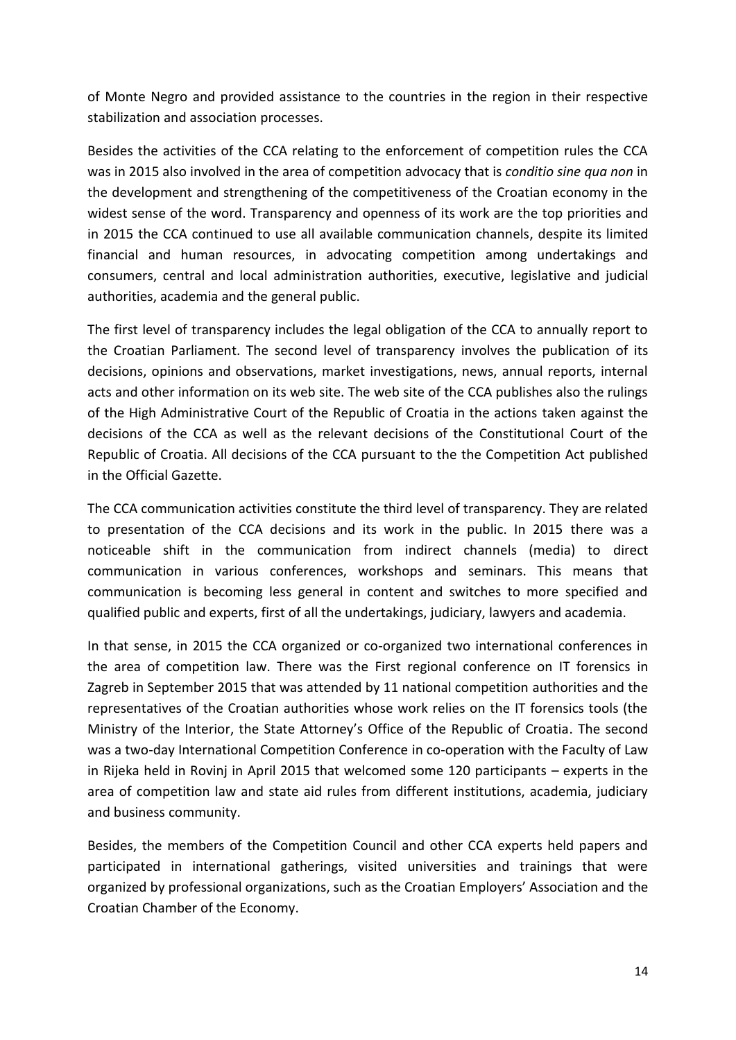of Monte Negro and provided assistance to the countries in the region in their respective stabilization and association processes.

Besides the activities of the CCA relating to the enforcement of competition rules the CCA was in 2015 also involved in the area of competition advocacy that is *conditio sine qua non* in the development and strengthening of the competitiveness of the Croatian economy in the widest sense of the word. Transparency and openness of its work are the top priorities and in 2015 the CCA continued to use all available communication channels, despite its limited financial and human resources, in advocating competition among undertakings and consumers, central and local administration authorities, executive, legislative and judicial authorities, academia and the general public.

The first level of transparency includes the legal obligation of the CCA to annually report to the Croatian Parliament. The second level of transparency involves the publication of its decisions, opinions and observations, market investigations, news, annual reports, internal acts and other information on its web site. The web site of the CCA publishes also the rulings of the High Administrative Court of the Republic of Croatia in the actions taken against the decisions of the CCA as well as the relevant decisions of the Constitutional Court of the Republic of Croatia. All decisions of the CCA pursuant to the the Competition Act published in the Official Gazette.

The CCA communication activities constitute the third level of transparency. They are related to presentation of the CCA decisions and its work in the public. In 2015 there was a noticeable shift in the communication from indirect channels (media) to direct communication in various conferences, workshops and seminars. This means that communication is becoming less general in content and switches to more specified and qualified public and experts, first of all the undertakings, judiciary, lawyers and academia.

In that sense, in 2015 the CCA organized or co-organized two international conferences in the area of competition law. There was the First regional conference on IT forensics in Zagreb in September 2015 that was attended by 11 national competition authorities and the representatives of the Croatian authorities whose work relies on the IT forensics tools (the Ministry of the Interior, the State Attorney's Office of the Republic of Croatia. The second was a two-day International Competition Conference in co-operation with the Faculty of Law in Rijeka held in Rovinj in April 2015 that welcomed some 120 participants – experts in the area of competition law and state aid rules from different institutions, academia, judiciary and business community.

Besides, the members of the Competition Council and other CCA experts held papers and participated in international gatherings, visited universities and trainings that were organized by professional organizations, such as the Croatian Employers' Association and the Croatian Chamber of the Economy.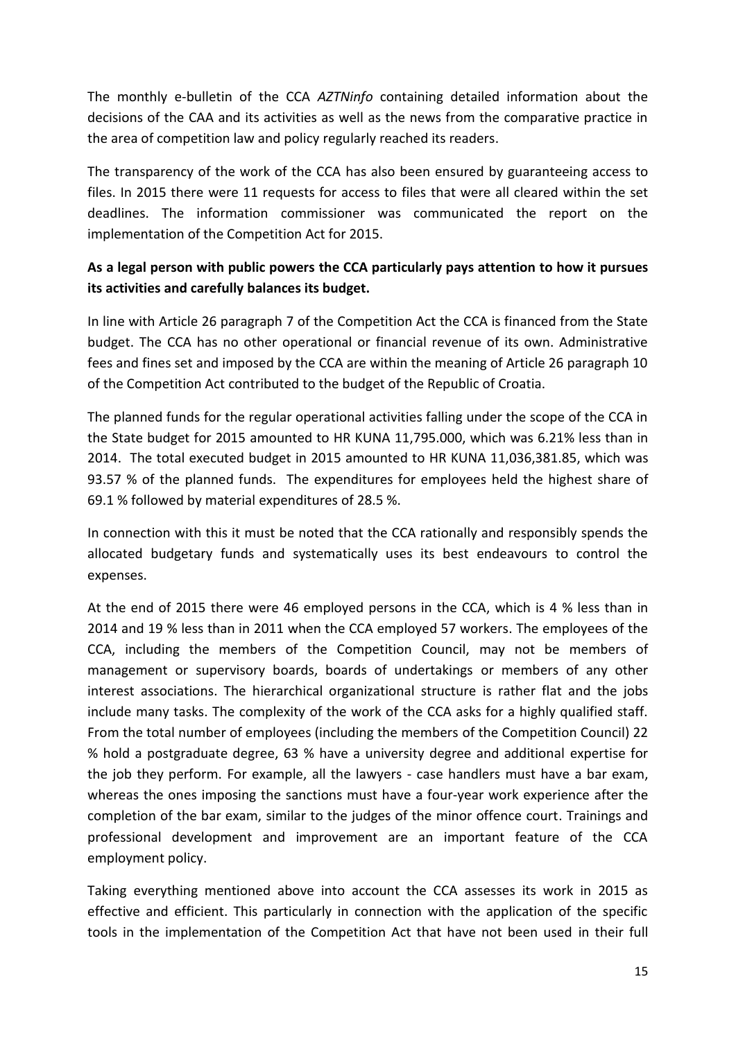The monthly e-bulletin of the CCA *AZTNinfo* containing detailed information about the decisions of the CAA and its activities as well as the news from the comparative practice in the area of competition law and policy regularly reached its readers.

The transparency of the work of the CCA has also been ensured by guaranteeing access to files. In 2015 there were 11 requests for access to files that were all cleared within the set deadlines. The information commissioner was communicated the report on the implementation of the Competition Act for 2015.

## **As a legal person with public powers the CCA particularly pays attention to how it pursues its activities and carefully balances its budget.**

In line with Article 26 paragraph 7 of the Competition Act the CCA is financed from the State budget. The CCA has no other operational or financial revenue of its own. Administrative fees and fines set and imposed by the CCA are within the meaning of Article 26 paragraph 10 of the Competition Act contributed to the budget of the Republic of Croatia.

The planned funds for the regular operational activities falling under the scope of the CCA in the State budget for 2015 amounted to HR KUNA 11,795.000, which was 6.21% less than in 2014. The total executed budget in 2015 amounted to HR KUNA 11,036,381.85, which was 93.57 % of the planned funds. The expenditures for employees held the highest share of 69.1 % followed by material expenditures of 28.5 %.

In connection with this it must be noted that the CCA rationally and responsibly spends the allocated budgetary funds and systematically uses its best endeavours to control the expenses.

At the end of 2015 there were 46 employed persons in the CCA, which is 4 % less than in 2014 and 19 % less than in 2011 when the CCA employed 57 workers. The employees of the CCA, including the members of the Competition Council, may not be members of management or supervisory boards, boards of undertakings or members of any other interest associations. The hierarchical organizational structure is rather flat and the jobs include many tasks. The complexity of the work of the CCA asks for a highly qualified staff. From the total number of employees (including the members of the Competition Council) 22 % hold a postgraduate degree, 63 % have a university degree and additional expertise for the job they perform. For example, all the lawyers - case handlers must have a bar exam, whereas the ones imposing the sanctions must have a four-year work experience after the completion of the bar exam, similar to the judges of the minor offence court. Trainings and professional development and improvement are an important feature of the CCA employment policy.

Taking everything mentioned above into account the CCA assesses its work in 2015 as effective and efficient. This particularly in connection with the application of the specific tools in the implementation of the Competition Act that have not been used in their full